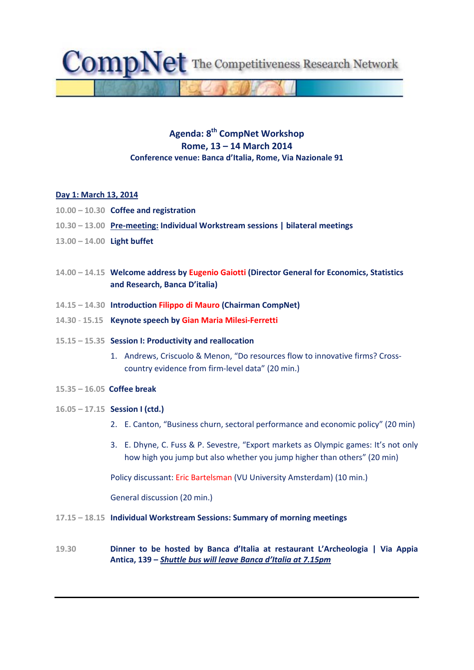$\text{CompNet}$  The Competitiveness Research Network

# **Agenda: 8th CompNet Workshop Rome, 13 – 14 March 2014 Conference venue: Banca d'Italia, Rome, Via Nazionale 91**

#### **Day 1: March 13, 2014**

- **10.00 – 10.30 Coffee and registration**
- **10.30 – 13.00 Pre‐meeting: Individual Workstream sessions | bilateral meetings**
- **13.00 – 14.00 Light buffet**
- **14.00 – 14.15 Welcome address by Eugenio Gaiotti (Director General for Economics, Statistics and Research, Banca D'italia)**
- **14.15 – 14.30 Introduction Filippo di Mauro (Chairman CompNet)**
- **14.30** ‐ **15.15 Keynote speech by Gian Maria Milesi‐Ferretti**
- **15.15 – 15.35 Session I: Productivity and reallocation**
	- 1. Andrews, Criscuolo & Menon, "Do resources flow to innovative firms? Crosscountry evidence from firm‐level data" (20 min.)
- **15.35 – 16.05 Coffee break**
- **16.05 – 17.15 Session I (ctd.)**
	- 2. E. Canton, "Business churn, sectoral performance and economic policy" (20 min)
	- 3. E. Dhyne, C. Fuss & P. Sevestre, "Export markets as Olympic games: It's not only how high you jump but also whether you jump higher than others" (20 min)

Policy discussant: Eric Bartelsman (VU University Amsterdam) (10 min.)

General discussion (20 min.)

- **17.15 – 18.15 Individual Workstream Sessions: Summary of morning meetings**
- **19.30 Dinner to be hosted by Banca d'Italia at restaurant L'Archeologia | Via Appia Antica, 139 –** *Shuttle bus will leave Banca d'Italia at 7.15pm*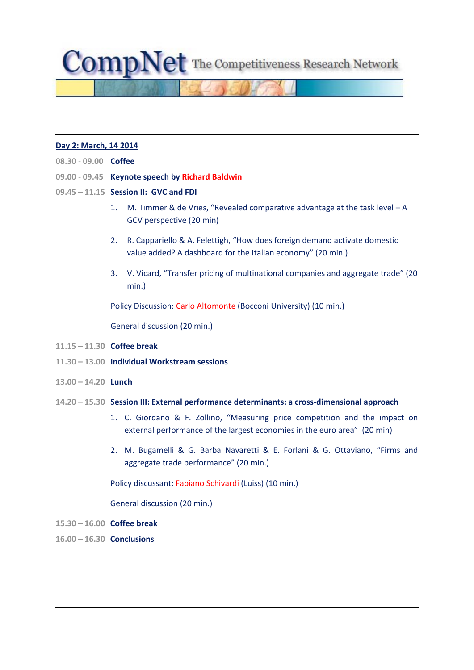$\text{CompNet}$  The Competitiveness Research Network

#### **Day 2: March, 14 2014**

- **08.30** ‐ **09.00 Coffee**
- **09.00** ‐ **09.45 Keynote speech by Richard Baldwin**
- **09.45 – 11.15 Session II: GVC and FDI**
	- 1. M. Timmer & de Vries, "Revealed comparative advantage at the task level A GCV perspective (20 min)
	- 2. R. Cappariello & A. Felettigh, "How does foreign demand activate domestic value added? A dashboard for the Italian economy" (20 min.)
	- 3. V. Vicard, "Transfer pricing of multinational companies and aggregate trade" (20 min.)

Policy Discussion: Carlo Altomonte (Bocconi University) (10 min.)

General discussion (20 min.)

- **11.15 – 11.30 Coffee break**
- **11.30 – 13.00 Individual Workstream sessions**
- **13.00 – 14.20 Lunch**
- **14.20 – 15.30 Session III: External performance determinants: a cross‐dimensional approach**
	- 1. C. Giordano & F. Zollino, "Measuring price competition and the impact on external performance of the largest economies in the euro area" (20 min)
	- 2. M. Bugamelli & G. Barba Navaretti & E. Forlani & G. Ottaviano, "Firms and aggregate trade performance" (20 min.)

Policy discussant: Fabiano Schivardi (Luiss) (10 min.)

General discussion (20 min.)

- **15.30 – 16.00 Coffee break**
- **16.00 – 16.30 Conclusions**